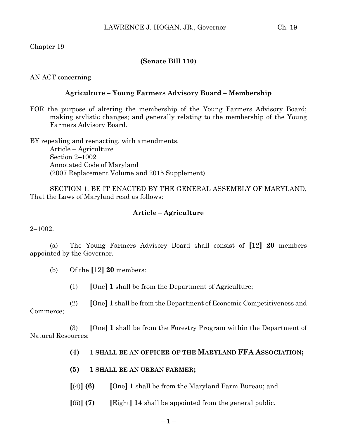Chapter 19

## **(Senate Bill 110)**

AN ACT concerning

## **Agriculture – Young Farmers Advisory Board – Membership**

FOR the purpose of altering the membership of the Young Farmers Advisory Board; making stylistic changes; and generally relating to the membership of the Young Farmers Advisory Board.

BY repealing and reenacting, with amendments, Article – Agriculture Section 2–1002 Annotated Code of Maryland (2007 Replacement Volume and 2015 Supplement)

SECTION 1. BE IT ENACTED BY THE GENERAL ASSEMBLY OF MARYLAND, That the Laws of Maryland read as follows:

## **Article – Agriculture**

2–1002.

(a) The Young Farmers Advisory Board shall consist of **[**12**] 20** members appointed by the Governor.

- (b) Of the **[**12**] 20** members:
	- (1) **[**One**] 1** shall be from the Department of Agriculture;

(2) **[**One**] 1** shall be from the Department of Economic Competitiveness and Commerce;

(3) **[**One**] 1** shall be from the Forestry Program within the Department of Natural Resources;

- **(4) 1 SHALL BE AN OFFICER OF THE MARYLAND FFA ASSOCIATION;**
- **(5) 1 SHALL BE AN URBAN FARMER;**
- **[**(4)**] (6) [**One**] 1** shall be from the Maryland Farm Bureau; and
- **[**(5)**] (7) [**Eight**] 14** shall be appointed from the general public.